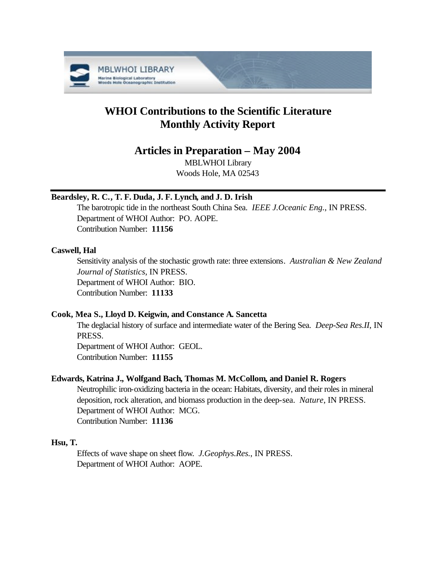

# **WHOI Contributions to the Scientific Literature Monthly Activity Report**

## **Articles in Preparation – May 2004**

MBLWHOI Library Woods Hole, MA 02543

## **Beardsley, R. C., T. F. Duda, J. F. Lynch, and J. D. Irish**

The barotropic tide in the northeast South China Sea. *IEEE J.Oceanic Eng.*, IN PRESS. Department of WHOI Author: PO. AOPE. Contribution Number: **11156**

## **Caswell, Hal**

Sensitivity analysis of the stochastic growth rate: three extensions. *Australian & New Zealand Journal of Statistics*, IN PRESS. Department of WHOI Author: BIO. Contribution Number: **11133**

## **Cook, Mea S., Lloyd D. Keigwin, and Constance A. Sancetta**

The deglacial history of surface and intermediate water of the Bering Sea. *Deep-Sea Res.II*, IN PRESS.

Department of WHOI Author: GEOL. Contribution Number: **11155**

## **Edwards, Katrina J., Wolfgand Bach, Thomas M. McCollom, and Daniel R. Rogers**

Neutrophilic iron-oxidizing bacteria in the ocean: Habitats, diversity, and their roles in mineral deposition, rock alteration, and biomass production in the deep-sea. *Nature*, IN PRESS. Department of WHOI Author: MCG. Contribution Number: **11136**

## **Hsu, T.**

Effects of wave shape on sheet flow. *J.Geophys.Res.*, IN PRESS. Department of WHOI Author: AOPE.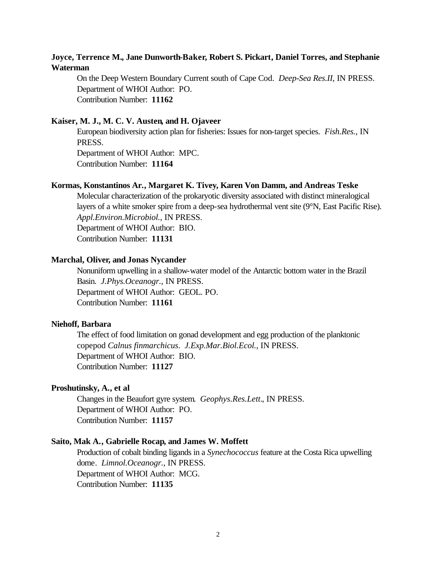## **Joyce, Terrence M., Jane Dunworth-Baker, Robert S. Pickart, Daniel Torres, and Stephanie Waterman**

On the Deep Western Boundary Current south of Cape Cod. *Deep-Sea Res.II*, IN PRESS. Department of WHOI Author: PO. Contribution Number: **11162**

#### **Kaiser, M. J., M. C. V. Austen, and H. Ojaveer**

European biodiversity action plan for fisheries: Issues for non-target species. *Fish.Res.*, IN PRESS. Department of WHOI Author: MPC. Contribution Number: **11164**

#### **Kormas, Konstantinos Ar., Margaret K. Tivey, Karen Von Damm, and Andreas Teske**

Molecular characterization of the prokaryotic diversity associated with distinct mineralogical layers of a white smoker spire from a deep-sea hydrothermal vent site (9°N, East Pacific Rise). *Appl.Environ.Microbiol.*, IN PRESS.

Department of WHOI Author: BIO.

Contribution Number: **11131**

#### **Marchal, Oliver, and Jonas Nycander**

Nonuniform upwelling in a shallow-water model of the Antarctic bottom water in the Brazil Basin. *J.Phys.Oceanogr.*, IN PRESS. Department of WHOI Author: GEOL. PO. Contribution Number: **11161**

#### **Niehoff, Barbara**

The effect of food limitation on gonad development and egg production of the planktonic copepod *Calnus finmarchicus*. *J.Exp.Mar.Biol.Ecol.*, IN PRESS. Department of WHOI Author: BIO. Contribution Number: **11127**

#### **Proshutinsky, A., et al**

Changes in the Beaufort gyre system. *Geophys.Res.Lett.*, IN PRESS. Department of WHOI Author: PO. Contribution Number: **11157**

#### **Saito, Mak A., Gabrielle Rocap, and James W. Moffett**

Production of cobalt binding ligands in a *Synechococcus* feature at the Costa Rica upwelling dome. *Limnol.Oceanogr.*, IN PRESS. Department of WHOI Author: MCG. Contribution Number: **11135**